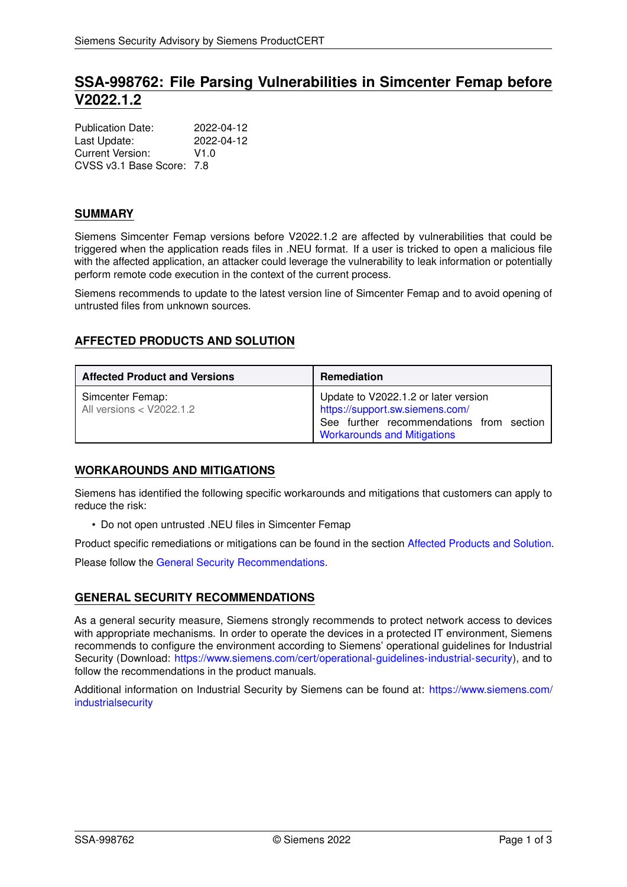# **SSA-998762: File Parsing Vulnerabilities in Simcenter Femap before V2022.1.2**

| <b>Publication Date:</b>  | 2022-04-12 |
|---------------------------|------------|
| Last Update:              | 2022-04-12 |
| Current Version:          | V1.0       |
| CVSS v3.1 Base Score: 7.8 |            |

### **SUMMARY**

Siemens Simcenter Femap versions before V2022.1.2 are affected by vulnerabilities that could be triggered when the application reads files in .NEU format. If a user is tricked to open a malicious file with the affected application, an attacker could leverage the vulnerability to leak information or potentially perform remote code execution in the context of the current process.

<span id="page-0-1"></span>Siemens recommends to update to the latest version line of Simcenter Femap and to avoid opening of untrusted files from unknown sources.

# **AFFECTED PRODUCTS AND SOLUTION**

| <b>Affected Product and Versions</b>         | <b>Remediation</b>                                                                                                                                        |
|----------------------------------------------|-----------------------------------------------------------------------------------------------------------------------------------------------------------|
| Simcenter Femap:<br>All versions < V2022.1.2 | Update to V2022.1.2 or later version<br>https://support.sw.siemens.com/<br>See further recommendations from section<br><b>Workarounds and Mitigations</b> |

# <span id="page-0-0"></span>**WORKAROUNDS AND MITIGATIONS**

Siemens has identified the following specific workarounds and mitigations that customers can apply to reduce the risk:

• Do not open untrusted .NEU files in Simcenter Femap

Product specific remediations or mitigations can be found in the section [Affected Products and Solution.](#page-0-1)

<span id="page-0-2"></span>Please follow the [General Security Recommendations.](#page-0-2)

### **GENERAL SECURITY RECOMMENDATIONS**

As a general security measure, Siemens strongly recommends to protect network access to devices with appropriate mechanisms. In order to operate the devices in a protected IT environment, Siemens recommends to configure the environment according to Siemens' operational guidelines for Industrial Security (Download: [https://www.siemens.com/cert/operational-guidelines-industrial-security\)](https://www.siemens.com/cert/operational-guidelines-industrial-security), and to follow the recommendations in the product manuals.

Additional information on Industrial Security by Siemens can be found at: [https://www.siemens.com/](https://www.siemens.com/industrialsecurity) [industrialsecurity](https://www.siemens.com/industrialsecurity)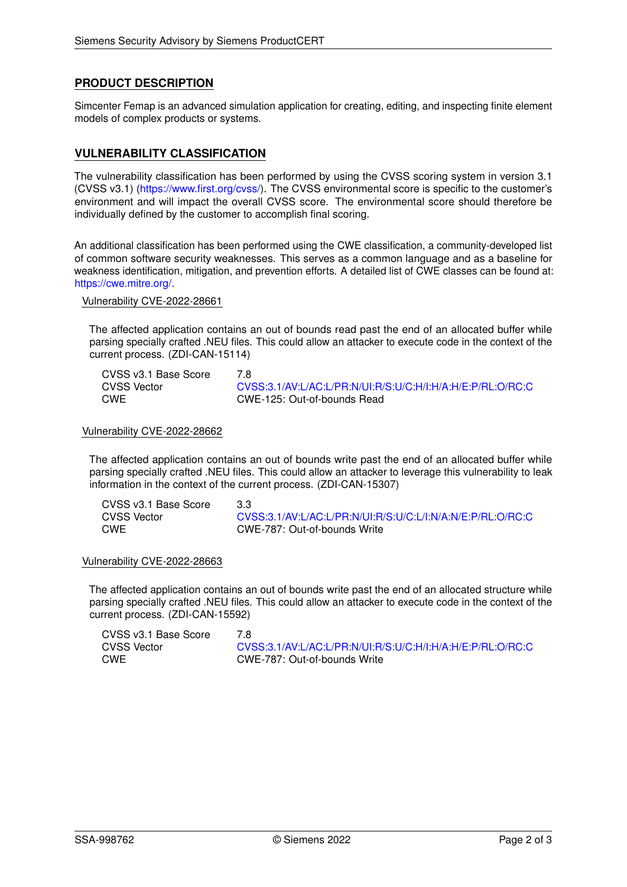### **PRODUCT DESCRIPTION**

Simcenter Femap is an advanced simulation application for creating, editing, and inspecting finite element models of complex products or systems.

### **VULNERABILITY CLASSIFICATION**

The vulnerability classification has been performed by using the CVSS scoring system in version 3.1 (CVSS v3.1) [\(https://www.first.org/cvss/\)](https://www.first.org/cvss/). The CVSS environmental score is specific to the customer's environment and will impact the overall CVSS score. The environmental score should therefore be individually defined by the customer to accomplish final scoring.

An additional classification has been performed using the CWE classification, a community-developed list of common software security weaknesses. This serves as a common language and as a baseline for weakness identification, mitigation, and prevention efforts. A detailed list of CWE classes can be found at: [https://cwe.mitre.org/.](https://cwe.mitre.org/)

Vulnerability CVE-2022-28661

The affected application contains an out of bounds read past the end of an allocated buffer while parsing specially crafted .NEU files. This could allow an attacker to execute code in the context of the current process. (ZDI-CAN-15114)

| CVSS v3.1 Base Score | 7 R                                                        |
|----------------------|------------------------------------------------------------|
| CVSS Vector          | CVSS:3.1/AV:L/AC:L/PR:N/UI:R/S:U/C:H/I:H/A:H/E:P/RL:O/RC:C |
| CWE                  | CWE-125: Out-of-bounds Read                                |

#### Vulnerability CVE-2022-28662

The affected application contains an out of bounds write past the end of an allocated buffer while parsing specially crafted .NEU files. This could allow an attacker to leverage this vulnerability to leak information in the context of the current process. (ZDI-CAN-15307)

| CVSS v3.1 Base Score | 3.3                                                        |
|----------------------|------------------------------------------------------------|
| CVSS Vector          | CVSS:3.1/AV:L/AC:L/PR:N/UI:R/S:U/C:L/I:N/A:N/E:P/RL:O/RC:C |
| CWE                  | CWE-787: Out-of-bounds Write                               |

#### Vulnerability CVE-2022-28663

The affected application contains an out of bounds write past the end of an allocated structure while parsing specially crafted .NEU files. This could allow an attacker to execute code in the context of the current process. (ZDI-CAN-15592)

| CVSS v3.1 Base Score | 7 8                                                        |
|----------------------|------------------------------------------------------------|
| <b>CVSS Vector</b>   | CVSS:3.1/AV:L/AC:L/PR:N/UI:R/S:U/C:H/I:H/A:H/E:P/RL:O/RC:C |
| CWE                  | CWE-787: Out-of-bounds Write                               |